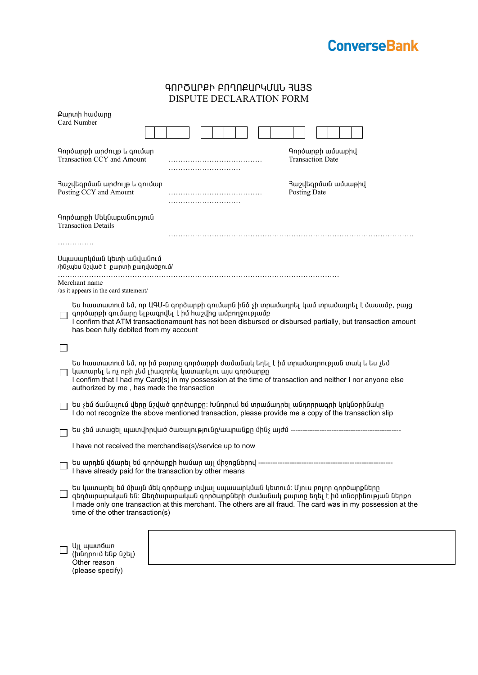

| ԳՈՐԾԱՐՔԻ ԲՈՂՈՔԱՐԿՄԱՆ ՅԱՅՏ |  |
|---------------------------|--|
| DISPUTE DECLARATION FORM  |  |

|                                                               | Քարտի համարը<br>Card Number                                                                                                                                                                                                                                                                                                  |  |  |  |
|---------------------------------------------------------------|------------------------------------------------------------------------------------------------------------------------------------------------------------------------------------------------------------------------------------------------------------------------------------------------------------------------------|--|--|--|
|                                                               | Գործարքի արժույթ և գումար<br>Գործարքի ամսաթիվ<br>Transaction CCY and Amount<br><b>Transaction Date</b>                                                                                                                                                                                                                       |  |  |  |
|                                                               | Յաշվեգրման արժույթ և գումար<br>Յաշվեգրման ամսաթիվ<br>Posting CCY and Amount<br>Posting Date                                                                                                                                                                                                                                  |  |  |  |
|                                                               | Գործարքի Մեկնաբանություն<br><b>Transaction Details</b>                                                                                                                                                                                                                                                                       |  |  |  |
|                                                               |                                                                                                                                                                                                                                                                                                                              |  |  |  |
| Սպասարկման կետի անվանում<br>/ինչպես նշված է քարտի քաղվածքում/ |                                                                                                                                                                                                                                                                                                                              |  |  |  |
|                                                               | Merchant name<br>/as it appears in the card statement/                                                                                                                                                                                                                                                                       |  |  |  |
|                                                               | Ես հաստատում եմ, որ ԱԳՄ-ն գործարքի գումարն ինձ չի տրամադրել կամ տրամադրել է մասամբ, բայց<br>գործարքի գումարը ելքագրվել է իմ հաշվից ամբողջությամբ<br>I confirm that ATM transactionamount has not been disbursed or disbursed partially, but transaction amount<br>has been fully debited from my account                     |  |  |  |
|                                                               |                                                                                                                                                                                                                                                                                                                              |  |  |  |
|                                                               | Ես հաստատում եմ, որ իմ քարտը գործարքի ժամանակ եղել է իմ տրամադրության տակ և ես չեմ<br>կատարել և ոչ ոքի չեմ լիազորել կատարելու այս գործարքը<br>I confirm that I had my Card(s) in my possession at the time of transaction and neither I nor anyone else<br>authorized by me, has made the transaction                        |  |  |  |
|                                                               | Ես չեմ ճանաչում վերը նշված գործարքը։ Խնդրում եմ տրամադրել անդորրագրի կրկնօրինակը<br>I do not recognize the above mentioned transaction, please provide me a copy of the transaction slip                                                                                                                                     |  |  |  |
|                                                               |                                                                                                                                                                                                                                                                                                                              |  |  |  |
|                                                               | I have not received the merchandise(s)/service up to now                                                                                                                                                                                                                                                                     |  |  |  |
|                                                               | I have already paid for the transaction by other means                                                                                                                                                                                                                                                                       |  |  |  |
|                                                               | Ես կատարել եմ միայն մեկ գործարք տվյալ սպասարկման կետում։ Մյուս բոլոր գործարքները<br>զեղծարարական են։ Զեղծարարական գործարքների ժամանակ քարտր եղել է իմ տնօրինության ներքո<br>I made only one transaction at this merchant. The others are all fraud. The card was in my possession at the<br>time of the other transaction(s) |  |  |  |
|                                                               | UJL պատճառ<br>(խնդրում ենք նշել)<br>Other reason<br>(please specify)                                                                                                                                                                                                                                                         |  |  |  |